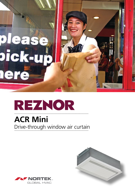# please pick-up lere

# REZNOR

## **ACR Mini** Drive-through window air curtain